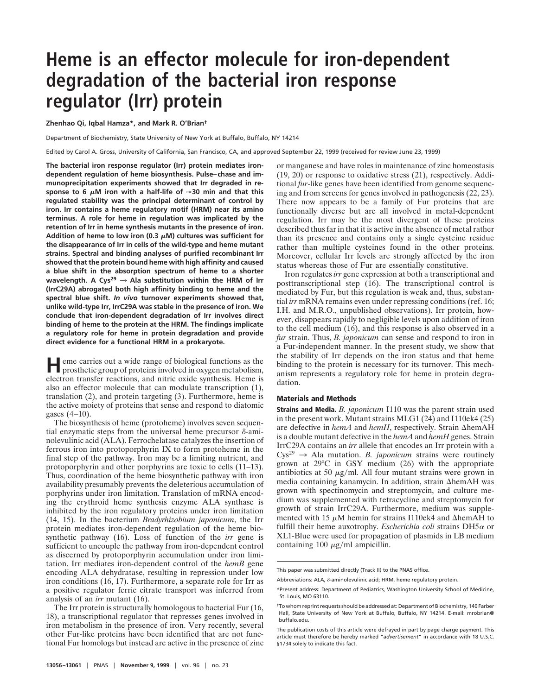## **Heme is an effector molecule for iron-dependent degradation of the bacterial iron response regulator (Irr) protein**

**Zhenhao Qi, Iqbal Hamza\*, and Mark R. O'Brian†**

Department of Biochemistry, State University of New York at Buffalo, Buffalo, NY 14214

Edited by Carol A. Gross, University of California, San Francisco, CA, and approved September 22, 1999 (received for review June 23, 1999)

**The bacterial iron response regulator (Irr) protein mediates irondependent regulation of heme biosynthesis. Pulse–chase and immunoprecipitation experiments showed that Irr degraded in re**sponse to 6  $\mu$ M iron with a half-life of  $\approx$ 30 min and that this **regulated stability was the principal determinant of control by iron. Irr contains a heme regulatory motif (HRM) near its amino terminus. A role for heme in regulation was implicated by the retention of Irr in heme synthesis mutants in the presence of iron.** Addition of heme to low iron (0.3  $\mu$ M) cultures was sufficient for **the disappearance of Irr in cells of the wild-type and heme mutant strains. Spectral and binding analyses of purified recombinant Irr showed that the protein bound heme with high affinity and caused a blue shift in the absorption spectrum of heme to a shorter** wavelength. A Cys<sup>29</sup>  $\rightarrow$  Ala substitution within the HRM of Irr **(IrrC29A) abrogated both high affinity binding to heme and the spectral blue shift.** *In vivo* **turnover experiments showed that, unlike wild-type Irr, IrrC29A was stable in the presence of iron. We conclude that iron-dependent degradation of Irr involves direct binding of heme to the protein at the HRM. The findings implicate a regulatory role for heme in protein degradation and provide direct evidence for a functional HRM in a prokaryote.**

**H**eme carries out a wide range of biological functions as the prosthetic group of proteins involved in oxygen metabolism, electron transfer reactions, and nitric oxide synthesis. Heme is also an effector molecule that can modulate transcription (1), translation (2), and protein targeting (3). Furthermore, heme is the active moiety of proteins that sense and respond to diatomic gases (4–10).

The biosynthesis of heme (protoheme) involves seven sequential enzymatic steps from the universal heme precursor  $\delta$ -aminolevulinic acid (ALA). Ferrochelatase catalyzes the insertion of ferrous iron into protoporphyrin IX to form protoheme in the final step of the pathway. Iron may be a limiting nutrient, and protoporphyrin and other porphyrins are toxic to cells (11–13). Thus, coordination of the heme biosynthetic pathway with iron availability presumably prevents the deleterious accumulation of porphyrins under iron limitation. Translation of mRNA encoding the erythroid heme synthesis enzyme ALA synthase is inhibited by the iron regulatory proteins under iron limitation (14, 15). In the bacterium *Bradyrhizobium japonicum*, the Irr protein mediates iron-dependent regulation of the heme biosynthetic pathway (16). Loss of function of the *irr* gene is sufficient to uncouple the pathway from iron-dependent control as discerned by protoporphyrin accumulation under iron limitation. Irr mediates iron-dependent control of the *hemB* gene encoding ALA dehydratase, resulting in repression under low iron conditions (16, 17). Furthermore, a separate role for Irr as a positive regulator ferric citrate transport was inferred from analysis of an *irr* mutant (16).

The Irr protein is structurally homologous to bacterial Fur (16, 18), a transcriptional regulator that represses genes involved in iron metabolism in the presence of iron. Very recently, several other Fur-like proteins have been identified that are not functional Fur homologs but instead are active in the presence of zinc

or manganese and have roles in maintenance of zinc homeostasis (19, 20) or response to oxidative stress (21), respectively. Additional *fur*-like genes have been identified from genome sequencing and from screens for genes involved in pathogenesis (22, 23). There now appears to be a family of Fur proteins that are functionally diverse but are all involved in metal-dependent regulation. Irr may be the most divergent of these proteins described thus far in that it is active in the absence of metal rather than its presence and contains only a single cysteine residue rather than multiple cysteines found in the other proteins. Moreover, cellular Irr levels are strongly affected by the iron status whereas those of Fur are essentially constitutive.

Iron regulates *irr* gene expression at both a transcriptional and posttranscriptional step (16). The transcriptional control is mediated by Fur, but this regulation is weak and, thus, substantial *irr* mRNA remains even under repressing conditions (ref. 16; I.H. and M.R.O., unpublished observations). Irr protein, however, disappears rapidly to negligible levels upon addition of iron to the cell medium (16), and this response is also observed in a *fur* strain. Thus, *B. japonicum* can sense and respond to iron in a Fur-independent manner. In the present study, we show that the stability of Irr depends on the iron status and that heme binding to the protein is necessary for its turnover. This mechanism represents a regulatory role for heme in protein degradation.

## **Materials and Methods**

**Strains and Media.** *B. japonicum* I110 was the parent strain used in the present work. Mutant strains MLG1 (24) and I110ek4 (25) are defective in *hemA* and *hemH*, respectively. Strain ΔhemAH is a double mutant defective in the *hemA* and *hemH* genes. Strain IrrC29A contains an *irr* allele that encodes an Irr protein with a  $Cys^{29} \rightarrow \text{Ala mutation. } B.$  *japonicum* strains were routinely grown at 29°C in GSY medium (26) with the appropriate antibiotics at 50  $\mu$ g/ml. All four mutant strains were grown in media containing kanamycin. In addition, strain  $\Delta$ hemAH was grown with spectinomycin and streptomycin, and culture medium was supplemented with tetracycline and streptomycin for growth of strain IrrC29A. Furthermore, medium was supplemented with 15  $\mu$ M hemin for strains I110ek4 and  $\Delta$ hemAH to fulfill their heme auxotrophy. *Escherichia coli* strains DH5<sup>a</sup> or XL1-Blue were used for propagation of plasmids in LB medium containing 100  $\mu$ g/ml ampicillin.

This paper was submitted directly (Track II) to the PNAS office.

Abbreviations: ALA, δ-aminolevulinic acid: HRM, heme regulatory protein.

<sup>\*</sup>Present address: Department of Pediatrics, Washington University School of Medicine, St. Louis, MO 63110.

<sup>†</sup>To whom reprint requests should be addressed at: Department of Biochemistry, 140 Farber Hall, State University of New York at Buffalo, Buffalo, NY 14214. E-mail: mrobrian@ buffalo.edu.

The publication costs of this article were defrayed in part by page charge payment. This article must therefore be hereby marked "*advertisement*" in accordance with 18 U.S.C. §1734 solely to indicate this fact.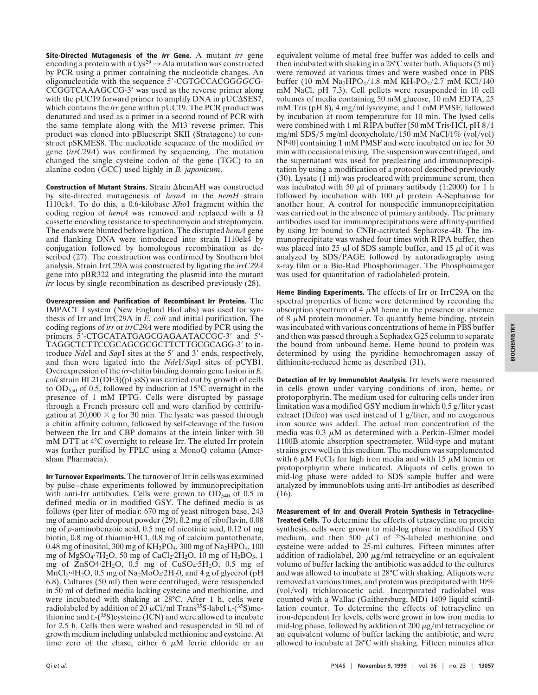**Site-Directed Mutagenesis of the irr Gene.** A mutant *irr* gene encoding a protein with a  $Cys^{29} \rightarrow$  Ala mutation was constructed by PCR using a primer containing the nucleotide changes. An oligonucleotide with the sequence 5'-CGTGCCACGGGGCG-CCGGTCAAAGCCG-3' was used as the reverse primer along with the pUC19 forward primer to amplify DNA in pUC $\Delta$ SES7, which contains the *irr* gene within pUC19. The PCR product was denatured and used as a primer in a second round of PCR with the same template along with the M13 reverse primer. This product was cloned into pBluescript SKII (Stratagene) to construct pSKMES8. The nucleotide sequence of the modified *irr* gene (*irrC29A*) was confirmed by sequencing. The mutation changed the single cysteine codon of the gene (TGC) to an alanine codon (GCC) used highly in *B. japonicum*.

Construction of Mutant Strains. Strain  $\Delta$ hemAH was constructed by site-directed mutagenesis of *hemA* in the *hemH* strain I110ek4. To do this, a 0.6-kilobase *Xho*I fragment within the coding region of *hemA* was removed and replaced with a  $\Omega$ cassette encoding resistance to spectinomycin and streptomycin. The ends were blunted before ligation. The disrupted *hemA* gene and flanking DNA were introduced into strain I110ek4 by conjugation followed by homologous recombination as described (27). The construction was confirmed by Southern blot analysis. Strain IrrC29A was constructed by ligating the *irrC29A* gene into pBR322 and integrating the plasmid into the mutant *irr* locus by single recombination as described previously (28).

**Overexpression and Purification of Recombinant Irr Proteins.** The IMPACT I system (New England BioLabs) was used for synthesis of Irr and IrrC29A in *E. coli* and initial purification. The coding regions of *irr* or *irrC29A* were modified by PCR using the primers 5'-CTGCATATGAGCGAGAATACCGC-3' and 5'-TAGGCTCTTCCGCAGCGCGCTTCTTGCGCAGG-3' to introduce *NdeI* and *SapI* sites at the 5' and 3' ends, respectively, and then were ligated into the *NdeI*/*SapI* sites of pCYB1. Overexpression of the *irr*-chitin binding domain gene fusion in *E. coli* strain BL21(DE3)(pLysS) was carried out by growth of cells to OD550 of 0.5, followed by induction at 15°C overnight in the presence of 1 mM IPTG. Cells were disrupted by passage through a French pressure cell and were clarified by centrifugation at  $20,000 \times g$  for 30 min. The lysate was passed through a chitin affinity column, followed by self-cleavage of the fusion between the Irr and CBP domains at the intein linker with 30 mM DTT at 4°C overnight to release Irr. The eluted Irr protein was further purified by FPLC using a MonoQ column (Amersham Pharmacia).

**Irr Turnover Experiments.** The turnover of Irr in cells was examined by pulse–chase experiments followed by immunoprecipitation with anti-Irr antibodies. Cells were grown to  $OD_{540}$  of 0.5 in defined media or in modified GSY. The defined media is as follows (per liter of media): 670 mg of yeast nitrogen base, 243 mg of amino acid dropout powder (29), 0.2 mg of riboflavin, 0.08 mg of *p*-aminobenzoic acid, 0.5 mg of nicotinic acid, 0.12 of mg biotin, 0.8 mg of thiamin·HCl, 0.8 mg of calcium pantothenate, 0.48 mg of inositol, 300 mg of  $KH_2PO_4$ , 300 mg of  $Na_2HPO_4$ , 100 mg of MgSO<sub>4</sub> $7H_2O$ , 50 mg of CaCl<sub>2</sub> $2H_2O$ , 10 mg of H<sub>3</sub>BO<sub>3</sub>, 1 mg of  $ZnSO4.2H_2O$ , 0.5 mg of  $CuSO_4.5H_2O$ , 0.5 mg of  $\text{MnCl}_2$ <sup>-4</sup>H<sub>2</sub>O, 0.5 mg of Na<sub>2</sub>MoO<sub>4</sub>·2H<sub>2</sub>0, and 4 g of glycerol (pH 6.8). Cultures (50 ml) then were centrifuged, were resuspended in 50 ml of defined media lacking cysteine and methionine, and were incubated with shaking at 28°C. After 1 h, cells were radiolabeled by addition of 20  $\mu$ Ci/ml Trans<sup>35</sup>S-label L-(<sup>35</sup>S)methionine and  $L^{35}$ S)cysteine (ICN) and were allowed to incubate for 2.5 h. Cells then were washed and resuspended in 50 ml of growth medium including unlabeled methionine and cysteine. At time zero of the chase, either  $6 \mu M$  ferric chloride or an

equivalent volume of metal free buffer was added to cells and then incubated with shaking in a 28°C water bath. Aliquots (5 ml) were removed at various times and were washed once in PBS buffer (10 mM  $\text{Na}_2\text{HPO}_4/1.8 \text{ mM } \text{KH}_2\text{PO}_4/2.7 \text{ mM } \text{KCl}/140$ mM NaCl, pH 7.3). Cell pellets were resuspended in 10 cell volumes of media containing 50 mM glucose, 10 mM EDTA, 25 mM Tris (pH 8), 4 mg/ml lysozyme, and 1 mM PMSF, followed by incubation at room temperature for 10 min. The lysed cells were combined with 1 ml RIPA buffer  $[50 \text{ mM Tris-HCl}, pH 8/1]$ mg/ml SDS/5 mg/ml deoxycholate/150 mM NaCl/1% (vol/vol) NP40] containing 1 mM PMSF and were incubated on ice for 30 min with occasional mixing. The suspension was centrifuged, and the supernatant was used for preclearing and immunoprecipitation by using a modification of a protocol described previously (30). Lysate (1 ml) was precleared with preimmune serum, then was incubated with 50  $\mu$ l of primary antibody (1:2000) for 1 h followed by incubation with  $100 \mu l$  protein A-Sepharose for another hour. A control for nonspecific immunoprecipitation was carried out in the absence of primary antibody. The primary antibodies used for immunoprecipitations were affinity-purified by using Irr bound to CNBr-activated Sepharose-4B. The immunoprecipitate was washed four times with RIPA buffer, then was placed into 25  $\mu$ l of SDS sample buffer, and 15  $\mu$ l of it was analyzed by SDS/PAGE followed by autoradiography using x-ray film or a Bio-Rad Phosphorimager. The Phosphoimager was used for quantitation of radiolabeled protein.

**Heme Binding Experiments.** The effects of Irr or IrrC29A on the spectral properties of heme were determined by recording the absorption spectrum of 4  $\mu$ M heme in the presence or absence of 8  $\mu$ M protein monomer. To quantify heme binding, protein was incubated with various concentrations of heme in PBS buffer and then was passed through a Sephadex G25 column to separate the bound from unbound heme. Heme bound to protein was determined by using the pyridine hemochromagen assay of dithionite-reduced heme as described (31).

**Detection of Irr by Immunoblot Analysis.** Irr levels were measured in cells grown under varying conditions of iron, heme, or protoporphyrin. The medium used for culturing cells under iron limitation was a modified GSY medium in which  $0.5$  g/liter yeast extract (Difco) was used instead of  $1$  g/liter, and no exogenous iron source was added. The actual iron concentration of the media was  $0.3 \mu M$  as determined with a Perkin–Elmer model 1100B atomic absorption spectrometer. Wild-type and mutant strains grew well in this medium. The medium was supplemented with 6  $\mu$ M FeCl<sub>3</sub> for high iron media and with 15  $\mu$ M hemin or protoporphyrin where indicated. Aliquots of cells grown to mid-log phase were added to SDS sample buffer and were analyzed by immunoblots using anti-Irr antibodies as described (16).

**Measurement of Irr and Overall Protein Synthesis in Tetracycline-Treated Cells.** To determine the effects of tetracycline on protein synthesis, cells were grown to mid-log phase in modified GSY medium, and then  $500 \mu$ Ci of  $35$ S-labeled methionine and cysteine were added to 25-ml cultures. Fifteen minutes after addition of radiolabel, 200  $\mu$ g/ml tetracycline or an equivalent volume of buffer lacking the antibiotic was added to the cultures and was allowed to incubate at 28°C with shaking. Aliquots were removed at various times, and protein was precipitated with 10% (vol/vol) trichloroacetic acid. Incorporated radiolabel was counted with a Wallac (Gaithersburg, MD) 1409 liquid scintillation counter. To determine the effects of tetracycline on iron-dependent Irr levels, cells were grown in low iron media to mid-log phase, followed by addition of 200  $\mu$ g/ml tetracycline or an equivalent volume of buffer lacking the antibiotic, and were allowed to incubate at 28°C with shaking. Fifteen minutes after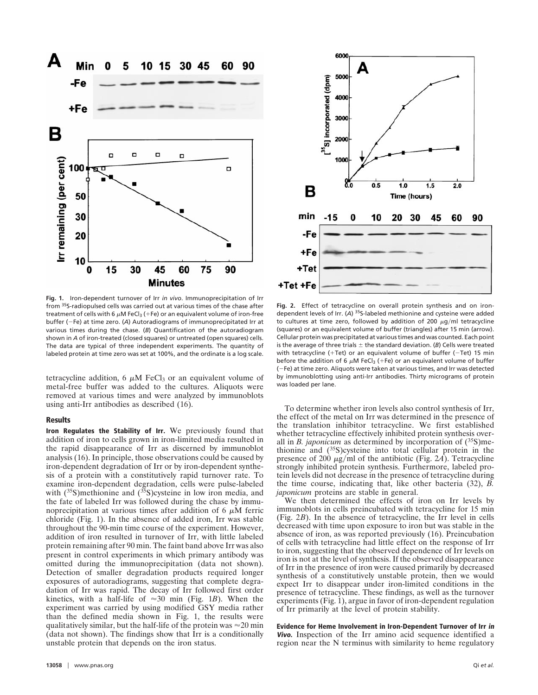

**Fig. 1.** Iron-dependent turnover of Irr *in vivo*. Immunoprecipitation of Irr from 35S-radiopulsed cells was carried out at various times of the chase after treatment of cells with 6  $\mu$ M FeCl<sub>3</sub> (+Fe) or an equivalent volume of iron-free buffer (-Fe) at time zero. (A) Autoradiograms of immunoprecipitated Irr at various times during the chase. (*B*) Quantification of the autoradiogram shown in *A* of iron-treated (closed squares) or untreated (open squares) cells. The data are typical of three independent experiments. The quantity of labeled protein at time zero was set at 100%, and the ordinate is a log scale.

tetracycline addition, 6  $\mu$ M FeCl<sub>3</sub> or an equivalent volume of metal-free buffer was added to the cultures. Aliquots were removed at various times and were analyzed by immunoblots using anti-Irr antibodies as described (16).

## **Results**

**Iron Regulates the Stability of Irr.** We previously found that addition of iron to cells grown in iron-limited media resulted in the rapid disappearance of Irr as discerned by immunoblot analysis (16). In principle, those observations could be caused by iron-dependent degradation of Irr or by iron-dependent synthesis of a protein with a constitutively rapid turnover rate. To examine iron-dependent degradation, cells were pulse-labeled with  $(^{35}S)$ methionine and  $(^{35}S)$ cysteine in low iron media, and the fate of labeled Irr was followed during the chase by immunoprecipitation at various times after addition of 6  $\mu$ M ferric chloride (Fig. 1). In the absence of added iron, Irr was stable throughout the 90-min time course of the experiment. However, addition of iron resulted in turnover of Irr, with little labeled protein remaining after 90 min. The faint band above Irr was also present in control experiments in which primary antibody was omitted during the immunoprecipitation (data not shown). Detection of smaller degradation products required longer exposures of autoradiograms, suggesting that complete degradation of Irr was rapid. The decay of Irr followed first order kinetics, with a half-life of  $\approx 30$  min (Fig. 1*B*). When the experiment was carried by using modified GSY media rather than the defined media shown in Fig. 1, the results were qualitatively similar, but the half-life of the protein was  $\approx 20$  min (data not shown). The findings show that Irr is a conditionally unstable protein that depends on the iron status.



**Fig. 2.** Effect of tetracycline on overall protein synthesis and on irondependent levels of Irr. (*A*) 35S-labeled methionine and cysteine were added to cultures at time zero, followed by addition of 200  $\mu$ g/ml tetracycline (squares) or an equivalent volume of buffer (triangles) after 15 min (arrow). Cellular protein was precipitated at various times and was counted. Each point is the average of three trials  $\pm$  the standard deviation. (*B*) Cells were treated with tetracycline (+Tet) or an equivalent volume of buffer ( $-Tet$ ) 15 min before the addition of 6  $\mu$ M FeCl<sub>3</sub> (+Fe) or an equivalent volume of buffer (2Fe) at time zero. Aliquots were taken at various times, and Irr was detected by immunoblotting using anti-Irr antibodies. Thirty micrograms of protein was loaded per lane.

To determine whether iron levels also control synthesis of Irr, the effect of the metal on Irr was determined in the presence of the translation inhibitor tetracycline. We first established whether tetracycline effectively inhibited protein synthesis overall in *B. japonicum* as determined by incorporation of (<sup>35</sup>S)methionine and  $(^{35}S)$ cysteine into total cellular protein in the presence of 200  $\mu$ g/ml of the antibiotic (Fig. 2*A*). Tetracycline strongly inhibited protein synthesis. Furthermore, labeled protein levels did not decrease in the presence of tetracycline during the time course, indicating that, like other bacteria (32), *B. japonicum* proteins are stable in general.

We then determined the effects of iron on Irr levels by immunoblots in cells preincubated with tetracycline for 15 min (Fig. 2*B*). In the absence of tetracycline, the Irr level in cells decreased with time upon exposure to iron but was stable in the absence of iron, as was reported previously (16). Preincubation of cells with tetracycline had little effect on the response of Irr to iron, suggesting that the observed dependence of Irr levels on iron is not at the level of synthesis. If the observed disappearance of Irr in the presence of iron were caused primarily by decreased synthesis of a constitutively unstable protein, then we would expect Irr to disappear under iron-limited conditions in the presence of tetracycline. These findings, as well as the turnover experiments (Fig. 1), argue in favor of iron-dependent regulation of Irr primarily at the level of protein stability.

**Evidence for Heme Involvement in Iron-Dependent Turnover of Irr in Vivo.** Inspection of the Irr amino acid sequence identified a region near the N terminus with similarity to heme regulatory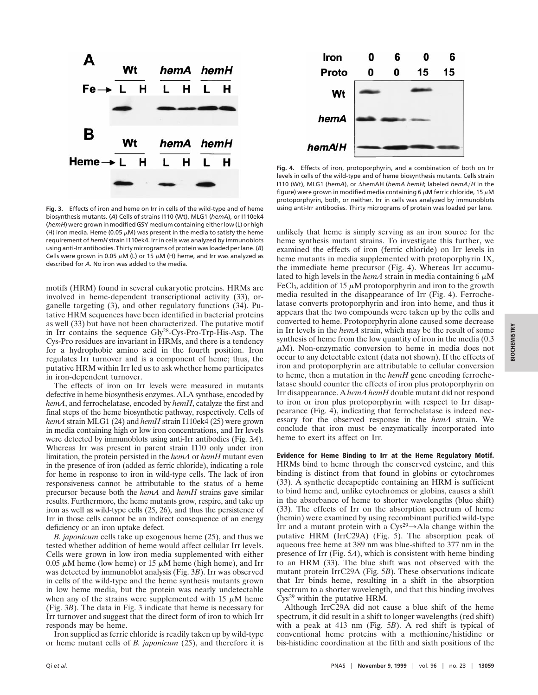

**Fig. 3.** Effects of iron and heme on Irr in cells of the wild-type and of heme biosynthesis mutants. (*A*) Cells of strains I110 (Wt), MLG1 (*hemA*), or I110ek4 (*hemH*) were grown in modified GSY medium containing either low (L) or high (H) iron media. Heme (0.05  $\mu$ M) was present in the media to satisfy the heme requirement of *hemH* strain I110ek4. Irr in cells was analyzed by immunoblots using anti-Irr antibodies. Thirty micrograms of protein was loaded per lane. (*B*) Cells were grown in 0.05  $\mu$ M (L) or 15  $\mu$ M (H) heme, and Irr was analyzed as described for *A*. No iron was added to the media.

motifs (HRM) found in several eukaryotic proteins. HRMs are involved in heme-dependent transcriptional activity (33), organelle targeting (3), and other regulatory functions (34). Putative HRM sequences have been identified in bacterial proteins as well (33) but have not been characterized. The putative motif in Irr contains the sequence Gly28-Cys-Pro-Trp-His-Asp. The Cys-Pro residues are invariant in HRMs, and there is a tendency for a hydrophobic amino acid in the fourth position. Iron regulates Irr turnover and is a component of heme; thus, the putative HRM within Irr led us to ask whether heme participates in iron-dependent turnover.

The effects of iron on Irr levels were measured in mutants defective in heme biosynthesis enzymes. ALA synthase, encoded by *hemA*, and ferrochelatase, encoded by *hemH*, catalyze the first and final steps of the heme biosynthetic pathway, respectively. Cells of *hemA* strain MLG1 (24) and *hemH* strain I110ek4 (25) were grown in media containing high or low iron concentrations, and Irr levels were detected by immunoblots using anti-Irr antibodies (Fig. 3*A*). Whereas Irr was present in parent strain I110 only under iron limitation, the protein persisted in the *hemA* or *hemH* mutant even in the presence of iron (added as ferric chloride), indicating a role for heme in response to iron in wild-type cells. The lack of iron responsiveness cannot be attributable to the status of a heme precursor because both the *hemA* and *hemH* strains gave similar results. Furthermore, the heme mutants grow, respire, and take up iron as well as wild-type cells (25, 26), and thus the persistence of Irr in those cells cannot be an indirect consequence of an energy deficiency or an iron uptake defect.

*B. japonicum* cells take up exogenous heme (25), and thus we tested whether addition of heme would affect cellular Irr levels. Cells were grown in low iron media supplemented with either 0.05  $\mu$ M heme (low heme) or 15  $\mu$ M heme (high heme), and Irr was detected by immunoblot analysis (Fig. 3*B*). Irr was observed in cells of the wild-type and the heme synthesis mutants grown in low heme media, but the protein was nearly undetectable when any of the strains were supplemented with 15  $\mu$ M heme (Fig. 3*B*). The data in Fig. 3 indicate that heme is necessary for Irr turnover and suggest that the direct form of iron to which Irr responds may be heme.

Iron supplied as ferric chloride is readily taken up by wild-type or heme mutant cells of *B. japonicum* (25), and therefore it is



**Fig. 4.** Effects of iron, protoporphyrin, and a combination of both on Irr levels in cells of the wild-type and of heme biosynthesis mutants. Cells strain I110 (Wt), MLG1 (hemA), or ∆hemAH (hemA hemH; labeled hemA/H in the figure) were grown in modified media containing 6  $\mu$ M ferric chloride, 15  $\mu$ M protoporphyrin, both, or neither. Irr in cells was analyzed by immunoblots using anti-Irr antibodies. Thirty micrograms of protein was loaded per lane.

unlikely that heme is simply serving as an iron source for the heme synthesis mutant strains. To investigate this further, we examined the effects of iron (ferric chloride) on Irr levels in heme mutants in media supplemented with protoporphyrin IX, the immediate heme precursor (Fig. 4). Whereas Irr accumulated to high levels in the *hemA* strain in media containing  $6 \mu M$ FeCl<sub>3</sub>, addition of 15  $\mu$ M protoporphyrin and iron to the growth media resulted in the disappearance of Irr (Fig. 4). Ferrochelatase converts protoporphyrin and iron into heme, and thus it appears that the two compounds were taken up by the cells and converted to heme. Protoporphyrin alone caused some decrease in Irr levels in the *hemA* strain, which may be the result of some synthesis of heme from the low quantity of iron in the media (0.3  $\mu$ M). Non-enzymatic conversion to heme in media does not occur to any detectable extent (data not shown). If the effects of iron and protoporphyrin are attributable to cellular conversion to heme, then a mutation in the *hemH* gene encoding ferrochelatase should counter the effects of iron plus protoporphyrin on Irr disappearance. A *hemA hemH* double mutant did not respond to iron or iron plus protoporphyrin with respect to Irr disappearance (Fig. 4), indicating that ferrochelatase is indeed necessary for the observed response in the *hemA* strain. We conclude that iron must be enzymatically incorporated into heme to exert its affect on Irr.

**Evidence for Heme Binding to Irr at the Heme Regulatory Motif.** HRMs bind to heme through the conserved cysteine, and this binding is distinct from that found in globins or cytochromes (33). A synthetic decapeptide containing an HRM is sufficient to bind heme and, unlike cytochromes or globins, causes a shift in the absorbance of heme to shorter wavelengths (blue shift) (33). The effects of Irr on the absorption spectrum of heme (hemin) were examined by using recombinant purified wild-type Irr and a mutant protein with a  $\text{Cys}^{29} \rightarrow \text{Ala}$  change within the putative HRM (IrrC29A) (Fig. 5). The absorption peak of aqueous free heme at 389 nm was blue-shifted to 377 nm in the presence of Irr (Fig. 5*A*), which is consistent with heme binding to an HRM (33). The blue shift was not observed with the mutant protein IrrC29A (Fig. 5*B*). These observations indicate that Irr binds heme, resulting in a shift in the absorption spectrum to a shorter wavelength, and that this binding involves Cys<sup>29</sup> within the putative HRM.

Although IrrC29A did not cause a blue shift of the heme spectrum, it did result in a shift to longer wavelengths (red shift) with a peak at 413 nm (Fig. 5*B*). A red shift is typical of conventional heme proteins with a methionine/histidine or bis-histidine coordination at the fifth and sixth positions of the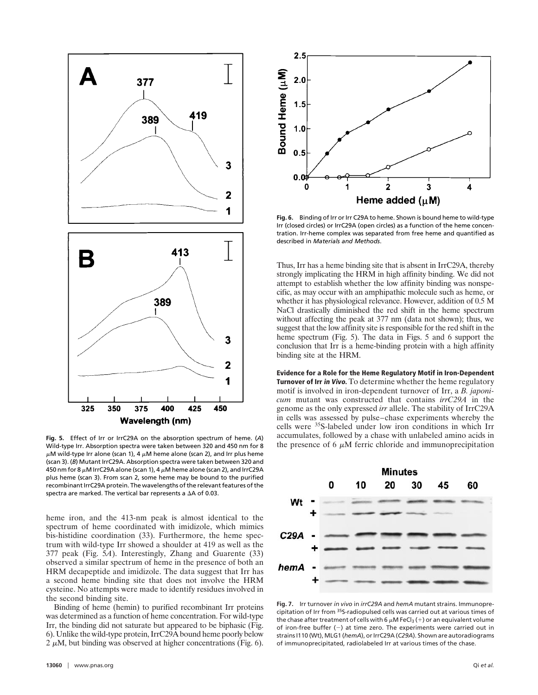

Wild-type Irr. Absorption spectra were taken between 320 and 450 nm for 8  $\mu$ M wild-type Irr alone (scan 1), 4  $\mu$ M heme alone (scan 2), and Irr plus heme (scan 3). (*B*) Mutant IrrC29A. Absorption spectra were taken between 320 and 450 nm for 8  $\mu$ M IrrC29A alone (scan 1), 4  $\mu$ M heme alone (scan 2), and IrrC29A plus heme (scan 3). From scan 2, some heme may be bound to the purified recombinant IrrC29A protein. The wavelengths of the relevant features of the spectra are marked. The vertical bar represents a  $\Delta A$  of 0.03.

heme iron, and the 413-nm peak is almost identical to the spectrum of heme coordinated with imidizole, which mimics bis-histidine coordination (33). Furthermore, the heme spectrum with wild-type Irr showed a shoulder at 419 as well as the 377 peak (Fig. 5*A*). Interestingly, Zhang and Guarente (33) observed a similar spectrum of heme in the presence of both an HRM decapeptide and imidizole. The data suggest that Irr has a second heme binding site that does not involve the HRM cysteine. No attempts were made to identify residues involved in the second binding site.

Binding of heme (hemin) to purified recombinant Irr proteins was determined as a function of heme concentration. For wild-type Irr, the binding did not saturate but appeared to be biphasic (Fig. 6). Unlike the wild-type protein, IrrC29A bound heme poorly below  $2 \mu$ M, but binding was observed at higher concentrations (Fig. 6).



**Fig. 6.** Binding of Irr or Irr C29A to heme. Shown is bound heme to wild-type Irr (closed circles) or IrrC29A (open circles) as a function of the heme concentration. Irr-heme complex was separated from free heme and quantified as described in *Materials and Methods*.

Thus, Irr has a heme binding site that is absent in IrrC29A, thereby strongly implicating the HRM in high affinity binding. We did not attempt to establish whether the low affinity binding was nonspecific, as may occur with an amphipathic molecule such as heme, or whether it has physiological relevance. However, addition of 0.5 M NaCl drastically diminished the red shift in the heme spectrum without affecting the peak at 377 nm (data not shown); thus, we suggest that the low affinity site is responsible for the red shift in the heme spectrum (Fig. 5). The data in Figs. 5 and 6 support the conclusion that Irr is a heme-binding protein with a high affinity binding site at the HRM.

**Evidence for a Role for the Heme Regulatory Motif in Iron-Dependent Turnover of Irr in Vivo.** To determine whether the heme regulatory motif is involved in iron-dependent turnover of Irr, a *B. japonicum* mutant was constructed that contains *irrC29A* in the genome as the only expressed *irr* allele. The stability of IrrC29A in cells was assessed by pulse–chase experiments whereby the cells were 35S-labeled under low iron conditions in which Irr accumulates, followed by a chase with unlabeled amino acids in Fig. 5. Effect of Irr or IrrC29A on the absorption spectrum of heme. (*A*) accumulates, followed by a chase with unlabeled amino acids in<br>Wild-type Irr, Absorption spectra were taken between 320 and 450 nm for 8 the prese



**Fig. 7.** Irr turnover *in vivo* in *irrC29A* and *hemA* mutant strains. Immunoprecipitation of Irr from 35S-radiopulsed cells was carried out at various times of the chase after treatment of cells with 6  $\mu$ M FeCl<sub>3</sub> (+) or an equivalent volume of iron-free buffer  $(-)$  at time zero. The experiments were carried out in strains I110 (Wt), MLG1 (*hemA*), or IrrC29A (*C29A*). Shown are autoradiograms of immunoprecipitated, radiolabeled Irr at various times of the chase.